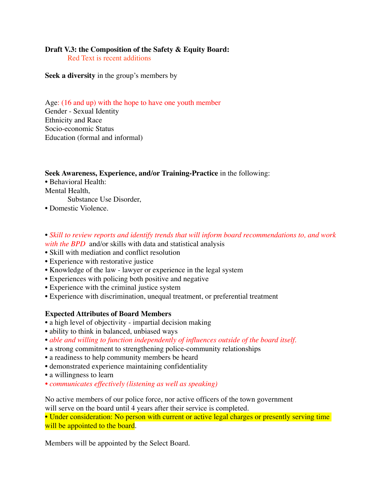# **Draft V.3: the Composition of the Safety & Equity Board:**

Red Text is recent additions

**Seek a diversity** in the group's members by

Age: (16 and up) with the hope to have one youth member Gender - Sexual Identity Ethnicity and Race Socio-economic Status Education (formal and informal)

#### **Seek Awareness, Experience, and/or Training-Practice** in the following:

• Behavioral Health: Mental Health,

Substance Use Disorder,

- Domestic Violence.
- *Skill to review reports and identify trends that will inform board recommendations to, and work with the BPD* and/or skills with data and statistical analysis
- Skill with mediation and conflict resolution
- Experience with restorative justice
- Knowledge of the law lawyer or experience in the legal system
- Experiences with policing both positive and negative
- Experience with the criminal justice system
- Experience with discrimination, unequal treatment, or preferential treatment

## **Expected Attributes of Board Members**

- a high level of objectivity impartial decision making
- ability to think in balanced, unbiased ways
- *able and willing to function independently of influences outside of the board itself.*
- a strong commitment to strengthening police-community relationships
- a readiness to help community members be heard
- demonstrated experience maintaining confidentiality
- a willingness to learn
- *communicates effectively (listening as well as speaking)*

No active members of our police force, nor active officers of the town government will serve on the board until 4 years after their service is completed.

• Under consideration: No person with current or active legal charges or presently serving time will be appointed to the board.

Members will be appointed by the Select Board.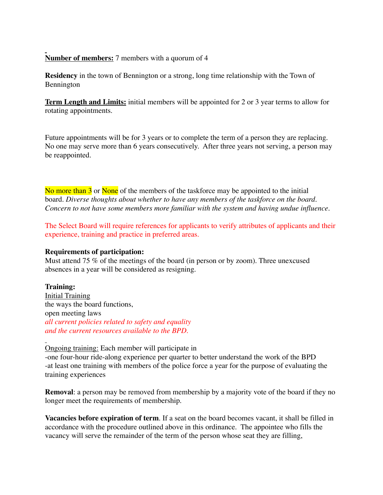## **Number of members:** 7 members with a quorum of 4

**Residency** in the town of Bennington or a strong, long time relationship with the Town of Bennington

**Term Length and Limits:** initial members will be appointed for 2 or 3 year terms to allow for rotating appointments.

Future appointments will be for 3 years or to complete the term of a person they are replacing. No one may serve more than 6 years consecutively. After three years not serving, a person may be reappointed.

No more than 3 or None of the members of the taskforce may be appointed to the initial board. *Diverse thoughts about whether to have any members of the taskforce on the board. Concern to not have some members more familiar with the system and having undue influence.*

The Select Board will require references for applicants to verify attributes of applicants and their experience, training and practice in preferred areas.

## **Requirements of participation:**

Must attend 75 % of the meetings of the board (in person or by zoom). Three unexcused absences in a year will be considered as resigning.

## **Training:**

Initial Training the ways the board functions, open meeting laws *all current policies related to safety and equality and the current resources available to the BPD.*

Ongoing training: Each member will participate in -one four-hour ride-along experience per quarter to better understand the work of the BPD -at least one training with members of the police force a year for the purpose of evaluating the training experiences

**Removal:** a person may be removed from membership by a majority vote of the board if they no longer meet the requirements of membership.

**Vacancies before expiration of term**. If a seat on the board becomes vacant, it shall be filled in accordance with the procedure outlined above in this ordinance. The appointee who fills the vacancy will serve the remainder of the term of the person whose seat they are filling,